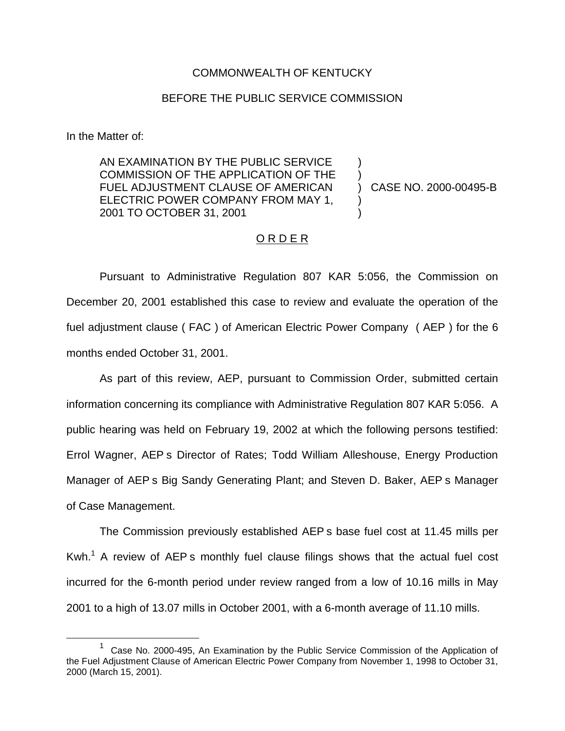## COMMONWEALTH OF KENTUCKY

## BEFORE THE PUBLIC SERVICE COMMISSION

In the Matter of:

AN EXAMINATION BY THE PUBLIC SERVICE COMMISSION OF THE APPLICATION OF THE FUEL ADJUSTMENT CLAUSE OF AMERICAN ELECTRIC POWER COMPANY FROM MAY 1, 2001 TO OCTOBER 31, 2001

) CASE NO. 2000-00495-B

) )

) )

## O R D E R

Pursuant to Administrative Regulation 807 KAR 5:056, the Commission on December 20, 2001 established this case to review and evaluate the operation of the fuel adjustment clause ( FAC ) of American Electric Power Company ( AEP ) for the 6 months ended October 31, 2001.

As part of this review, AEP, pursuant to Commission Order, submitted certain information concerning its compliance with Administrative Regulation 807 KAR 5:056. A public hearing was held on February 19, 2002 at which the following persons testified: Errol Wagner, AEP s Director of Rates; Todd William Alleshouse, Energy Production Manager of AEP s Big Sandy Generating Plant; and Steven D. Baker, AEP s Manager of Case Management.

The Commission previously established AEP s base fuel cost at 11.45 mills per Kwh.<sup>1</sup> A review of AEP s monthly fuel clause filings shows that the actual fuel cost incurred for the 6-month period under review ranged from a low of 10.16 mills in May 2001 to a high of 13.07 mills in October 2001, with a 6-month average of 11.10 mills.

 $1$  Case No. 2000-495, An Examination by the Public Service Commission of the Application of the Fuel Adjustment Clause of American Electric Power Company from November 1, 1998 to October 31, 2000 (March 15, 2001).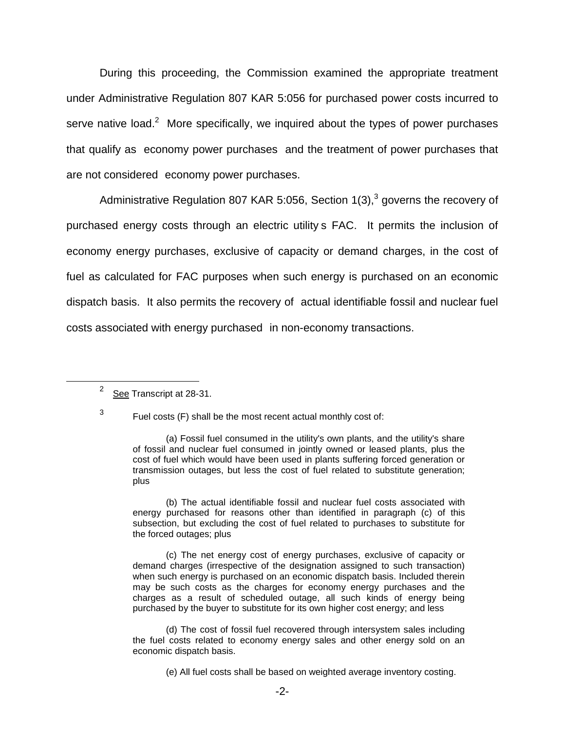During this proceeding, the Commission examined the appropriate treatment under Administrative Regulation 807 KAR 5:056 for purchased power costs incurred to serve native load.<sup>2</sup> More specifically, we inquired about the types of power purchases that qualify as economy power purchases and the treatment of power purchases that are not considered economy power purchases.

Administrative Regulation 807 KAR 5:056, Section  $1(3)$ ,<sup>3</sup> governs the recovery of purchased energy costs through an electric utility s FAC. It permits the inclusion of economy energy purchases, exclusive of capacity or demand charges, in the cost of fuel as calculated for FAC purposes when such energy is purchased on an economic dispatch basis. It also permits the recovery of actual identifiable fossil and nuclear fuel costs associated with energy purchased in non-economy transactions.

 $3$  Fuel costs (F) shall be the most recent actual monthly cost of:

(b) The actual identifiable fossil and nuclear fuel costs associated with energy purchased for reasons other than identified in paragraph (c) of this subsection, but excluding the cost of fuel related to purchases to substitute for the forced outages; plus

(c) The net energy cost of energy purchases, exclusive of capacity or demand charges (irrespective of the designation assigned to such transaction) when such energy is purchased on an economic dispatch basis. Included therein may be such costs as the charges for economy energy purchases and the charges as a result of scheduled outage, all such kinds of energy being purchased by the buyer to substitute for its own higher cost energy; and less

(d) The cost of fossil fuel recovered through intersystem sales including the fuel costs related to economy energy sales and other energy sold on an economic dispatch basis.

(e) All fuel costs shall be based on weighted average inventory costing.

<sup>&</sup>lt;sup>2</sup> See Transcript at 28-31.

<sup>(</sup>a) Fossil fuel consumed in the utility's own plants, and the utility's share of fossil and nuclear fuel consumed in jointly owned or leased plants, plus the cost of fuel which would have been used in plants suffering forced generation or transmission outages, but less the cost of fuel related to substitute generation; plus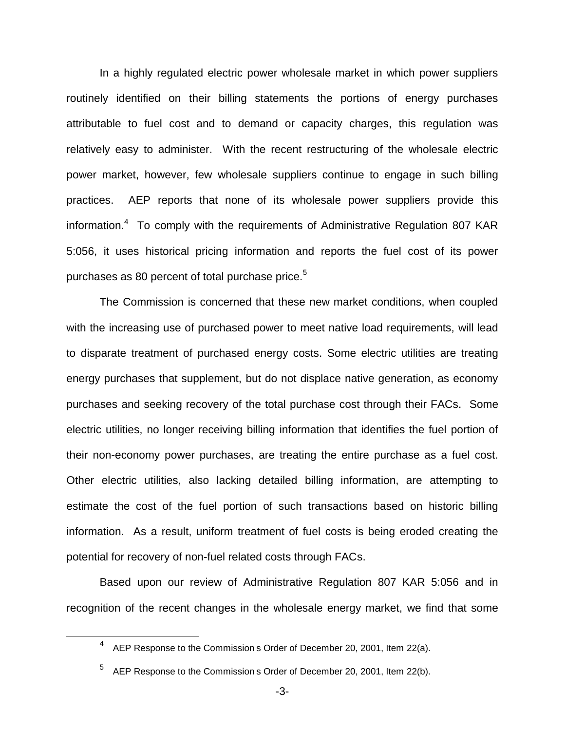In a highly regulated electric power wholesale market in which power suppliers routinely identified on their billing statements the portions of energy purchases attributable to fuel cost and to demand or capacity charges, this regulation was relatively easy to administer. With the recent restructuring of the wholesale electric power market, however, few wholesale suppliers continue to engage in such billing practices. AEP reports that none of its wholesale power suppliers provide this information.<sup>4</sup> To comply with the requirements of Administrative Regulation 807 KAR 5:056, it uses historical pricing information and reports the fuel cost of its power purchases as 80 percent of total purchase price.<sup>5</sup>

The Commission is concerned that these new market conditions, when coupled with the increasing use of purchased power to meet native load requirements, will lead to disparate treatment of purchased energy costs. Some electric utilities are treating energy purchases that supplement, but do not displace native generation, as economy purchases and seeking recovery of the total purchase cost through their FACs. Some electric utilities, no longer receiving billing information that identifies the fuel portion of their non-economy power purchases, are treating the entire purchase as a fuel cost. Other electric utilities, also lacking detailed billing information, are attempting to estimate the cost of the fuel portion of such transactions based on historic billing information. As a result, uniform treatment of fuel costs is being eroded creating the potential for recovery of non-fuel related costs through FACs.

Based upon our review of Administrative Regulation 807 KAR 5:056 and in recognition of the recent changes in the wholesale energy market, we find that some

 $4$  AEP Response to the Commission s Order of December 20, 2001, Item 22(a).

AEP Response to the Commission s Order of December 20, 2001, Item 22(b).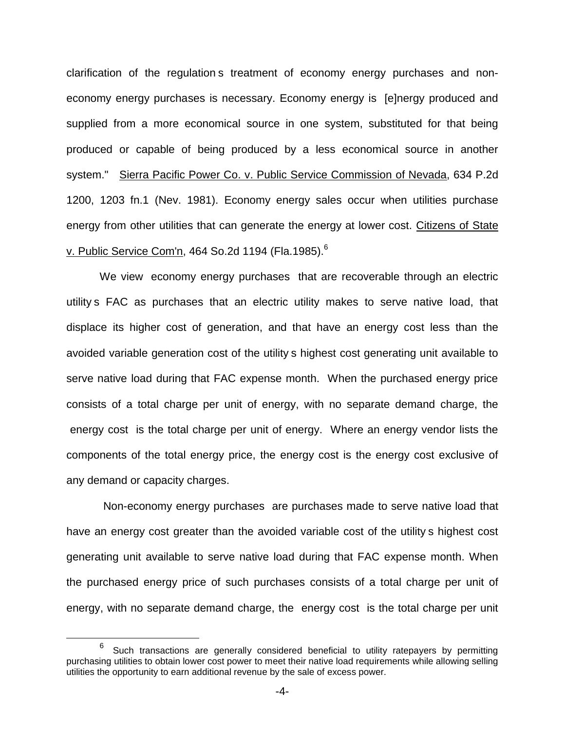clarification of the regulation s treatment of economy energy purchases and noneconomy energy purchases is necessary. Economy energy is [e]nergy produced and supplied from a more economical source in one system, substituted for that being produced or capable of being produced by a less economical source in another system." Sierra Pacific Power Co. v. Public Service Commission of Nevada, 634 P.2d 1200, 1203 fn.1 (Nev. 1981). Economy energy sales occur when utilities purchase energy from other utilities that can generate the energy at lower cost. Citizens of State v. Public Service Com'n, 464 So.2d 1194 (Fla.1985).<sup>6</sup>

We view economy energy purchases that are recoverable through an electric utility s FAC as purchases that an electric utility makes to serve native load, that displace its higher cost of generation, and that have an energy cost less than the avoided variable generation cost of the utility s highest cost generating unit available to serve native load during that FAC expense month. When the purchased energy price consists of a total charge per unit of energy, with no separate demand charge, the energy cost is the total charge per unit of energy. Where an energy vendor lists the components of the total energy price, the energy cost is the energy cost exclusive of any demand or capacity charges.

 Non-economy energy purchases are purchases made to serve native load that have an energy cost greater than the avoided variable cost of the utility s highest cost generating unit available to serve native load during that FAC expense month. When the purchased energy price of such purchases consists of a total charge per unit of energy, with no separate demand charge, the energy cost is the total charge per unit

 $6\degree$  Such transactions are generally considered beneficial to utility ratepayers by permitting purchasing utilities to obtain lower cost power to meet their native load requirements while allowing selling utilities the opportunity to earn additional revenue by the sale of excess power.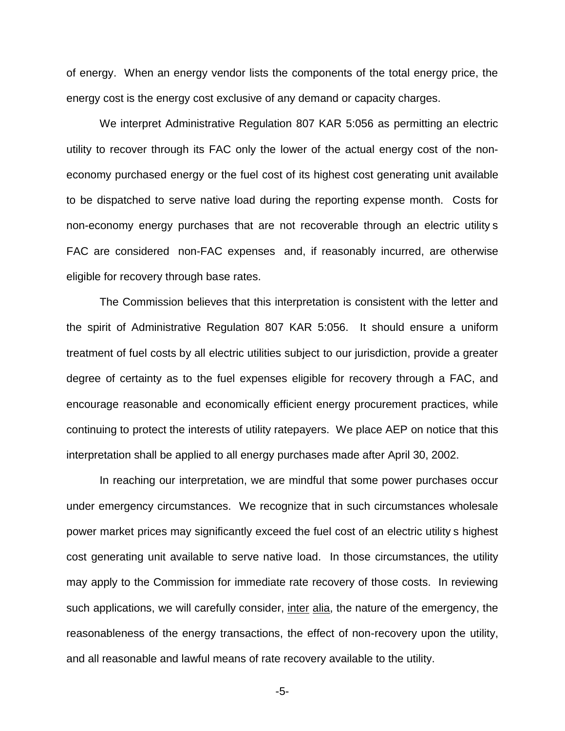of energy. When an energy vendor lists the components of the total energy price, the energy cost is the energy cost exclusive of any demand or capacity charges.

We interpret Administrative Regulation 807 KAR 5:056 as permitting an electric utility to recover through its FAC only the lower of the actual energy cost of the noneconomy purchased energy or the fuel cost of its highest cost generating unit available to be dispatched to serve native load during the reporting expense month. Costs for non-economy energy purchases that are not recoverable through an electric utility s FAC are considered non-FAC expenses and, if reasonably incurred, are otherwise eligible for recovery through base rates.

The Commission believes that this interpretation is consistent with the letter and the spirit of Administrative Regulation 807 KAR 5:056. It should ensure a uniform treatment of fuel costs by all electric utilities subject to our jurisdiction, provide a greater degree of certainty as to the fuel expenses eligible for recovery through a FAC, and encourage reasonable and economically efficient energy procurement practices, while continuing to protect the interests of utility ratepayers. We place AEP on notice that this interpretation shall be applied to all energy purchases made after April 30, 2002.

In reaching our interpretation, we are mindful that some power purchases occur under emergency circumstances. We recognize that in such circumstances wholesale power market prices may significantly exceed the fuel cost of an electric utility s highest cost generating unit available to serve native load. In those circumstances, the utility may apply to the Commission for immediate rate recovery of those costs. In reviewing such applications, we will carefully consider, inter alia, the nature of the emergency, the reasonableness of the energy transactions, the effect of non-recovery upon the utility, and all reasonable and lawful means of rate recovery available to the utility.

-5-